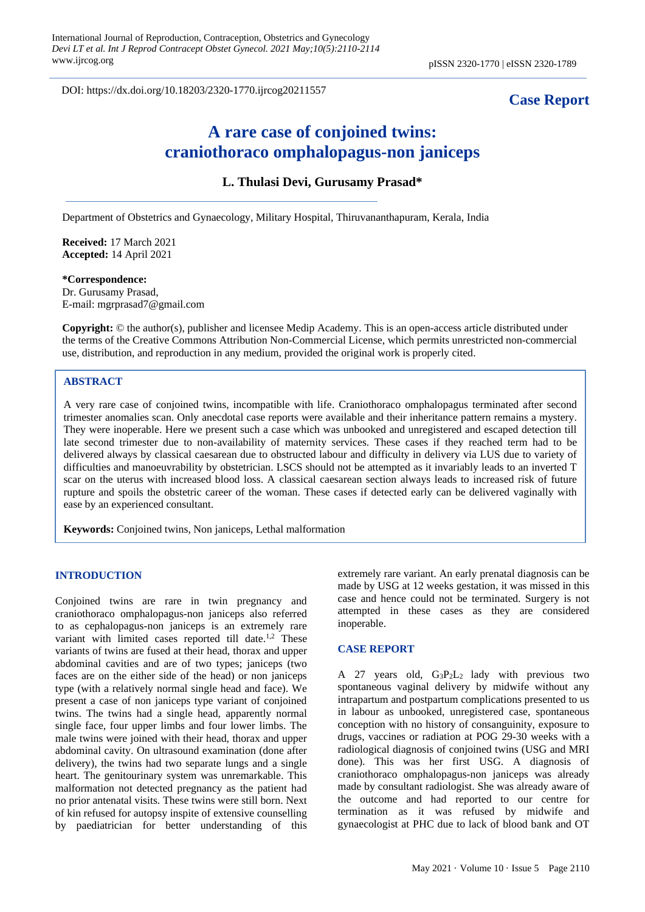DOI: https://dx.doi.org/10.18203/2320-1770.ijrcog20211557

## **Case Report**

# **A rare case of conjoined twins: craniothoraco omphalopagus-non janiceps**

## **L. Thulasi Devi, Gurusamy Prasad\***

Department of Obstetrics and Gynaecology, Military Hospital, Thiruvananthapuram, Kerala, India

**Received:** 17 March 2021 **Accepted:** 14 April 2021

**\*Correspondence:** Dr. Gurusamy Prasad, E-mail: mgrprasad7@gmail.com

**Copyright:** © the author(s), publisher and licensee Medip Academy. This is an open-access article distributed under the terms of the Creative Commons Attribution Non-Commercial License, which permits unrestricted non-commercial use, distribution, and reproduction in any medium, provided the original work is properly cited.

#### **ABSTRACT**

A very rare case of conjoined twins, incompatible with life. Craniothoraco omphalopagus terminated after second trimester anomalies scan. Only anecdotal case reports were available and their inheritance pattern remains a mystery. They were inoperable. Here we present such a case which was unbooked and unregistered and escaped detection till late second trimester due to non-availability of maternity services. These cases if they reached term had to be delivered always by classical caesarean due to obstructed labour and difficulty in delivery via LUS due to variety of difficulties and manoeuvrability by obstetrician. LSCS should not be attempted as it invariably leads to an inverted T scar on the uterus with increased blood loss. A classical caesarean section always leads to increased risk of future rupture and spoils the obstetric career of the woman. These cases if detected early can be delivered vaginally with ease by an experienced consultant.

**Keywords:** Conjoined twins, Non janiceps, Lethal malformation

#### **INTRODUCTION**

Conjoined twins are rare in twin pregnancy and craniothoraco omphalopagus-non janiceps also referred to as cephalopagus-non janiceps is an extremely rare variant with limited cases reported till date.<sup>1,2</sup> These variants of twins are fused at their head, thorax and upper abdominal cavities and are of two types; janiceps (two faces are on the either side of the head) or non janiceps type (with a relatively normal single head and face). We present a case of non janiceps type variant of conjoined twins. The twins had a single head, apparently normal single face, four upper limbs and four lower limbs. The male twins were joined with their head, thorax and upper abdominal cavity. On ultrasound examination (done after delivery), the twins had two separate lungs and a single heart. The genitourinary system was unremarkable. This malformation not detected pregnancy as the patient had no prior antenatal visits. These twins were still born. Next of kin refused for autopsy inspite of extensive counselling by paediatrician for better understanding of this extremely rare variant. An early prenatal diagnosis can be made by USG at 12 weeks gestation, it was missed in this case and hence could not be terminated. Surgery is not attempted in these cases as they are considered inoperable.

#### **CASE REPORT**

A 27 years old, G3P2L2 lady with previous two spontaneous vaginal delivery by midwife without any intrapartum and postpartum complications presented to us in labour as unbooked, unregistered case, spontaneous conception with no history of consanguinity, exposure to drugs, vaccines or radiation at POG 29-30 weeks with a radiological diagnosis of conjoined twins (USG and MRI done). This was her first USG. A diagnosis of craniothoraco omphalopagus-non janiceps was already made by consultant radiologist. She was already aware of the outcome and had reported to our centre for termination as it was refused by midwife and gynaecologist at PHC due to lack of blood bank and OT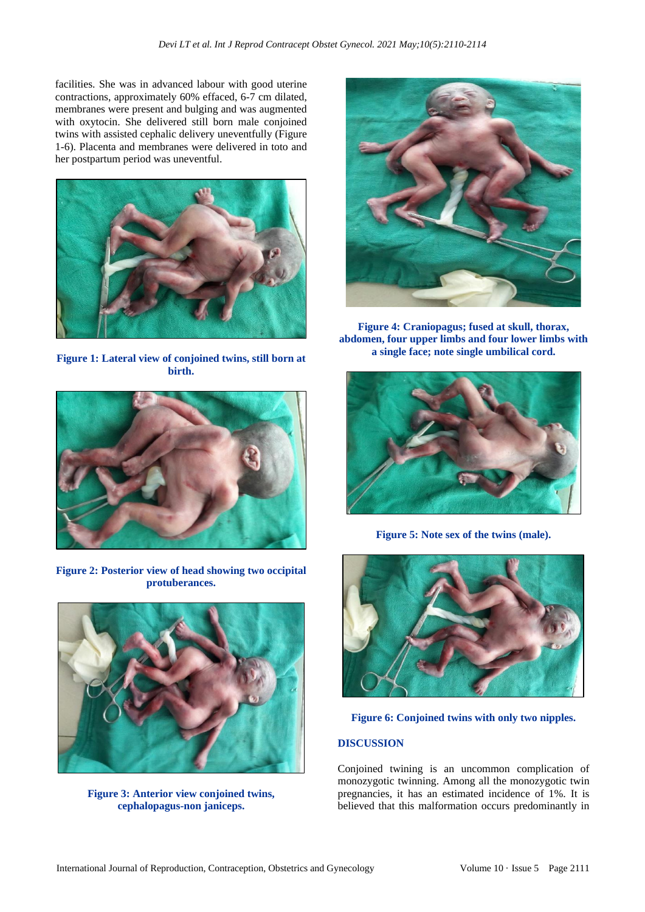facilities. She was in advanced labour with good uterine contractions, approximately 60% effaced, 6-7 cm dilated, membranes were present and bulging and was augmented with oxytocin. She delivered still born male conjoined twins with assisted cephalic delivery uneventfully (Figure 1-6). Placenta and membranes were delivered in toto and her postpartum period was uneventful.



**Figure 1: Lateral view of conjoined twins, still born at birth.**



**Figure 2: Posterior view of head showing two occipital protuberances.**



**Figure 3: Anterior view conjoined twins, cephalopagus-non janiceps.**



**Figure 4: Craniopagus; fused at skull, thorax, abdomen, four upper limbs and four lower limbs with a single face; note single umbilical cord.**



**Figure 5: Note sex of the twins (male).**



**Figure 6: Conjoined twins with only two nipples.**

## **DISCUSSION**

Conjoined twining is an uncommon complication of monozygotic twinning. Among all the monozygotic twin pregnancies, it has an estimated incidence of 1%. It is believed that this malformation occurs predominantly in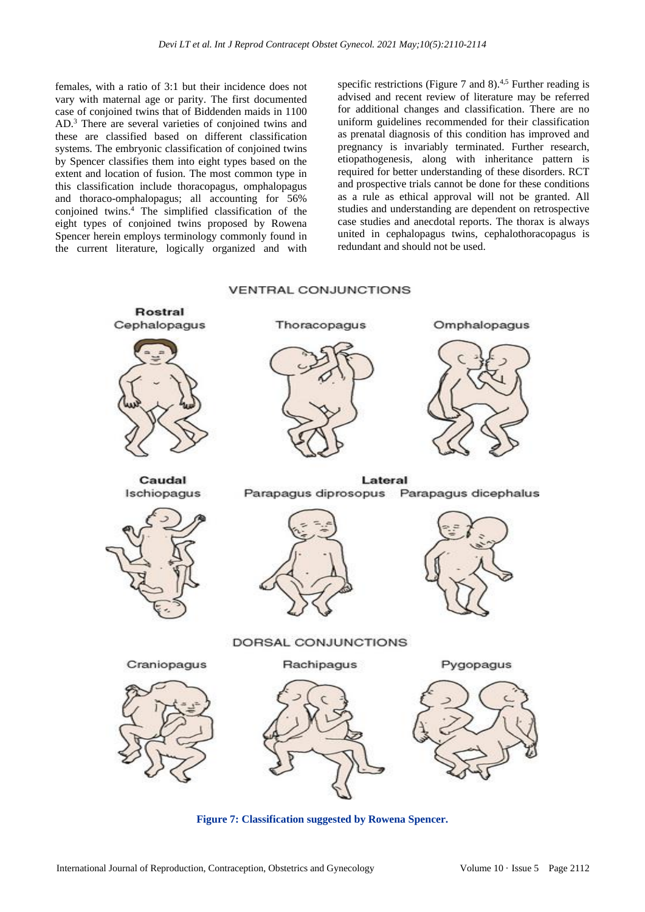females, with a ratio of 3:1 but their incidence does not vary with maternal age or parity. The first documented case of conjoined twins that of Biddenden maids in 1100 AD.<sup>3</sup> There are several varieties of conjoined twins and these are classified based on different classification systems. The embryonic classification of conjoined twins by Spencer classifies them into eight types based on the extent and location of fusion. The most common type in this classification include thoracopagus, omphalopagus and thoraco-omphalopagus; all accounting for 56% conjoined twins.<sup>4</sup> The simplified classification of the eight types of conjoined twins proposed by Rowena Spencer herein employs terminology commonly found in the current literature, logically organized and with

specific restrictions (Figure 7 and 8).<sup>4,5</sup> Further reading is advised and recent review of literature may be referred for additional changes and classification. There are no uniform guidelines recommended for their classification as prenatal diagnosis of this condition has improved and pregnancy is invariably terminated. Further research, etiopathogenesis, along with inheritance pattern is required for better understanding of these disorders. RCT and prospective trials cannot be done for these conditions as a rule as ethical approval will not be granted. All studies and understanding are dependent on retrospective case studies and anecdotal reports. The thorax is always united in cephalopagus twins, cephalothoracopagus is redundant and should not be used.

## **VENTRAL CONJUNCTIONS**



**Figure 7: Classification suggested by Rowena Spencer.**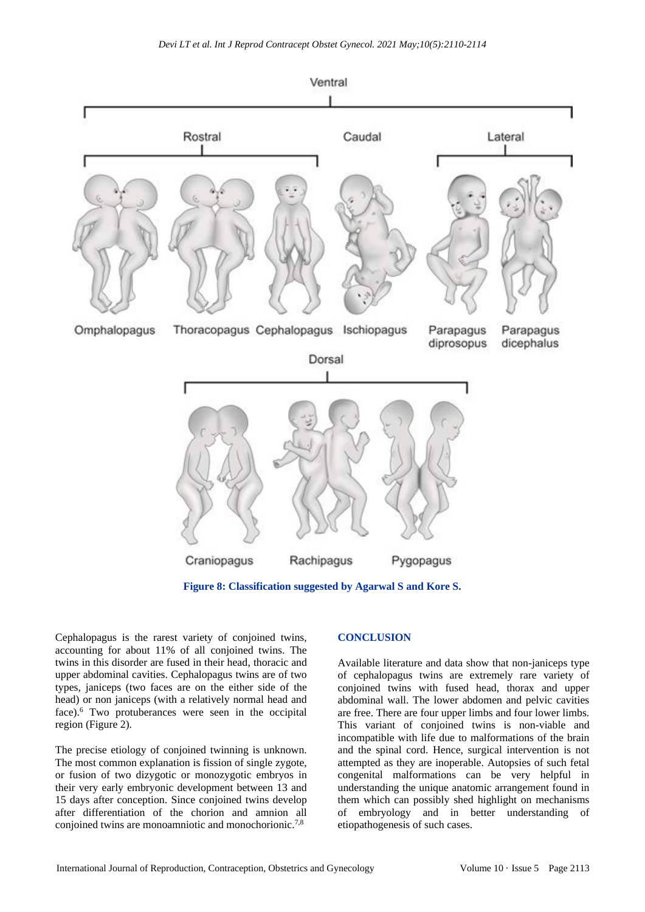

**Figure 8: Classification suggested by Agarwal S and Kore S.**

Cephalopagus is the rarest variety of conjoined twins, accounting for about 11% of all conjoined twins. The twins in this disorder are fused in their head, thoracic and upper abdominal cavities. Cephalopagus twins are of two types, janiceps (two faces are on the either side of the head) or non janiceps (with a relatively normal head and face).<sup>6</sup> Two protuberances were seen in the occipital region (Figure 2).

The precise etiology of conjoined twinning is unknown. The most common explanation is fission of single zygote, or fusion of two dizygotic or monozygotic embryos in their very early embryonic development between 13 and 15 days after conception. Since conjoined twins develop after differentiation of the chorion and amnion all conjoined twins are monoamniotic and monochorionic.<sup>7,8</sup>

### **CONCLUSION**

Available literature and data show that non-janiceps type of cephalopagus twins are extremely rare variety of conjoined twins with fused head, thorax and upper abdominal wall. The lower abdomen and pelvic cavities are free. There are four upper limbs and four lower limbs. This variant of conjoined twins is non-viable and incompatible with life due to malformations of the brain and the spinal cord. Hence, surgical intervention is not attempted as they are inoperable. Autopsies of such fetal congenital malformations can be very helpful in understanding the unique anatomic arrangement found in them which can possibly shed highlight on mechanisms of embryology and in better understanding of etiopathogenesis of such cases.